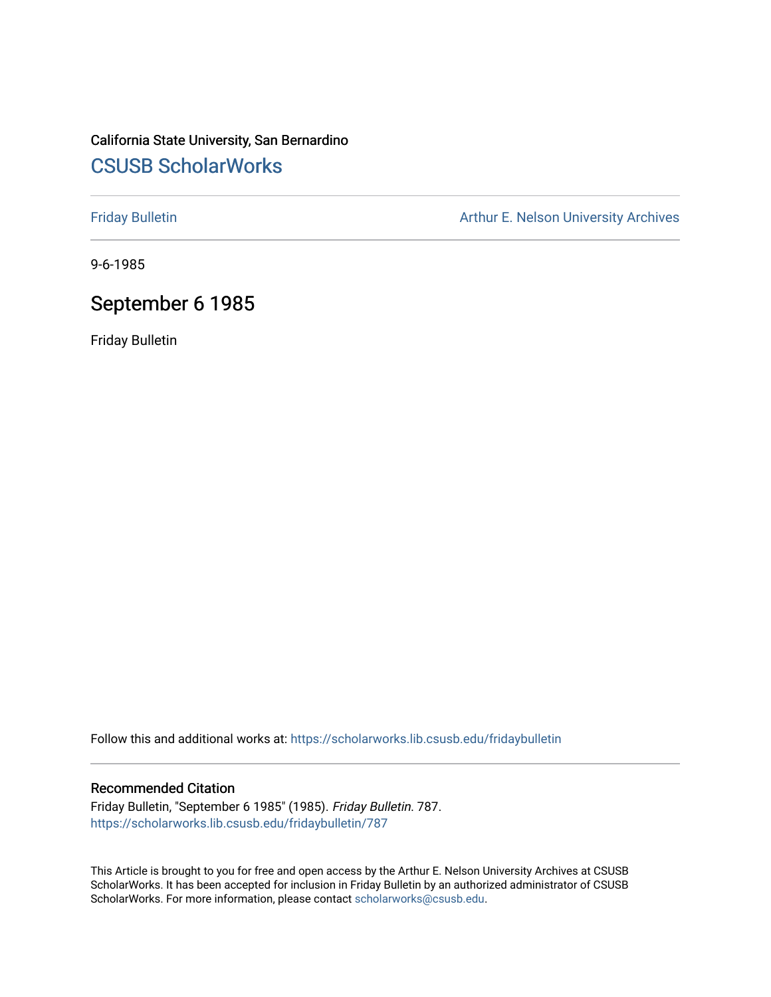### California State University, San Bernardino [CSUSB ScholarWorks](https://scholarworks.lib.csusb.edu/)

[Friday Bulletin](https://scholarworks.lib.csusb.edu/fridaybulletin) **Arthur E. Nelson University Archives** Arthur E. Nelson University Archives

9-6-1985

### September 6 1985

Friday Bulletin

Follow this and additional works at: [https://scholarworks.lib.csusb.edu/fridaybulletin](https://scholarworks.lib.csusb.edu/fridaybulletin?utm_source=scholarworks.lib.csusb.edu%2Ffridaybulletin%2F787&utm_medium=PDF&utm_campaign=PDFCoverPages)

#### Recommended Citation

Friday Bulletin, "September 6 1985" (1985). Friday Bulletin. 787. [https://scholarworks.lib.csusb.edu/fridaybulletin/787](https://scholarworks.lib.csusb.edu/fridaybulletin/787?utm_source=scholarworks.lib.csusb.edu%2Ffridaybulletin%2F787&utm_medium=PDF&utm_campaign=PDFCoverPages)

This Article is brought to you for free and open access by the Arthur E. Nelson University Archives at CSUSB ScholarWorks. It has been accepted for inclusion in Friday Bulletin by an authorized administrator of CSUSB ScholarWorks. For more information, please contact [scholarworks@csusb.edu.](mailto:scholarworks@csusb.edu)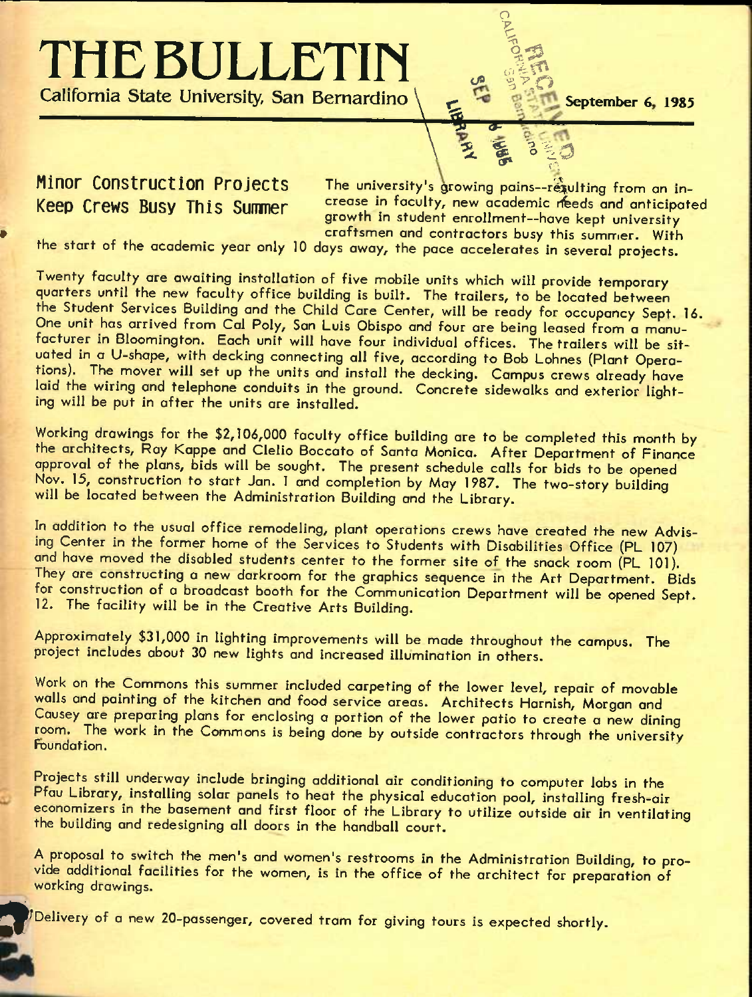# **THE BULLETIN**<br>California State University, San Bernardino

\ U <1- *\ ^ % ^%p* 

### **California State University, San Bernardino \ ^ September 6 1985**

**Minor Construction Projects** The university's growing pains--requiting from an in-Keep Crews Busy This Summer **Crease in faculty, new academic reeds and anticipated** growth in student enrollment—have kept university craftsmen and contractors busy this summer. With

o

the start of the academic year only 10 days away, the pace accelerates in several projects.

Twenty faculty are awaiting installation of five mobile units which will provide temporary quarters until the new faculty office building is built. The trailers, to be located between the Student Services Building and the Child Care Center, will be ready for occupancy Sept. 16. One unit has arrived from Cal Poly, San Luis Obispo and four are being leased from a manufacturer in Bloomington. Each unit will have four individual offices. The trailers will be situated in a U-shape, with decking connecting all five, according to Bob Lohnes (Plant Operations). The mover will set up the units and install the decking. Campus crews already have laid the wiring and telephone conduits in the ground. Concrete sidewalks and exterior lighting will be put in after the units are installed.

Working drawings for the \$2,106,000 faculty office building are to be completed this month by the architects, Ray Kappe and Clelio Boccato of Santa Monica. After Department of Finance approval of the plans, bids will be sought. The present schedule calls for bids to be opened Nov. 15, construction to start Jan. 1 and completion by May 1987. The two-story building will be located between the Administration Building and the Library.

In addition to the usual office remodeling, plant operations crews have created the new Advising Center in the former home of the Services to Students with Disabilities Office (PL 107) and have moved the disabled students center to the former site of the snack room (PL 101). They are constructing a new darkroom for the graphics sequence in the Art Department. Bids for construction of a broadcast booth for the Communication Department will be opened Sept. 12. The facility will be in the Creative Arts Building.

Approximately \$31,000 in lighting improvements will be made throughout the campus. The project includes about 30 new lights and increased illumination in others.

Work on the Commons this summer included carpeting of the lower level, repair of movable walls and painting of the kitchen and food service areas. Architects Harnish, Morgan and Causey are preparing plans for enclosing a portion of the lower patio to create a new dining room. The work in the Commons is being done by outside contractors through the university Foundation.

Projects still underway include bringing additional air conditioning to computer labs in the Pfau Library, installing solar panels to heat the physical education pool, installing fresh-air economizers in the basement and first floor of the Library to utilize outside air in ventilating the building and redesigning all doors in the handball court.

A proposal to switch the men's and women's restrooms in the Administration Building, to provide additional facilities for the women, is in the office of the architect for preparation of working drawings.

*9*  '^Delivery of *a* new 20-passenger, covered tram for giving tours is expected shortly.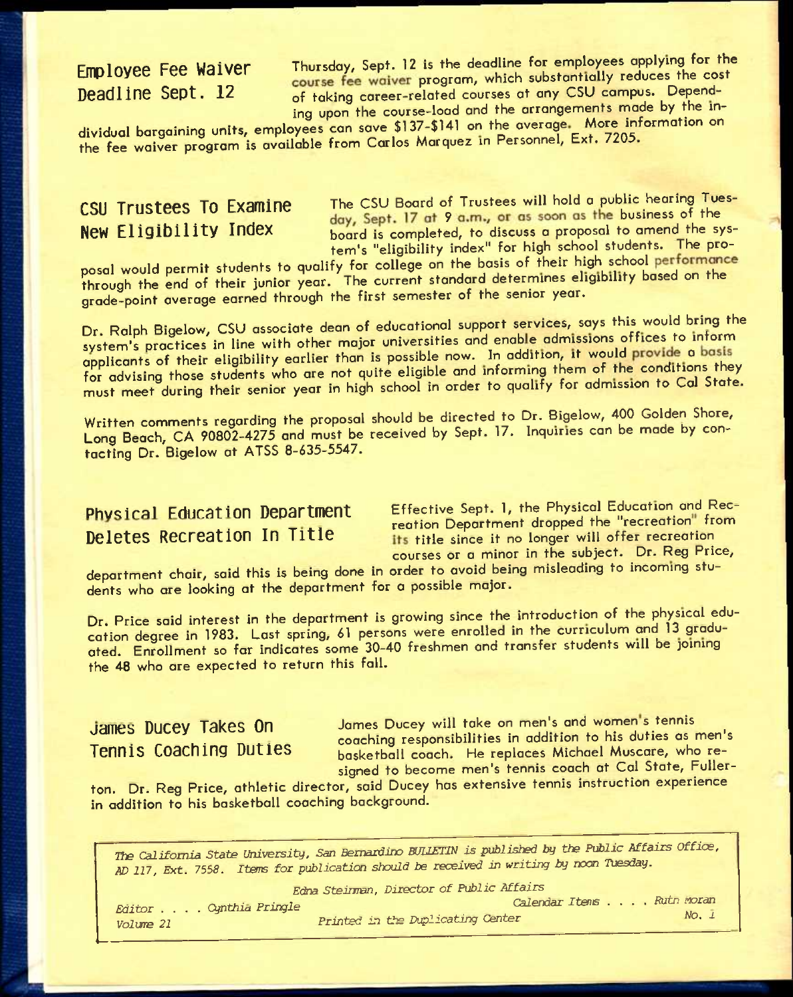**FMOLOVEE FEE Waiver Thursday, Sept. 12 is the deadline for employees applying for the cost**<br>**Deadline Sept. 12** of taking career-related courses at any CSU campus. Dependof taking career-related courses at any CSU campus. Depending upon the course-load and the arrangements made by the in-

dividual bargaining units, employees can save \$137-\$141 on the **overage** More information on the fee waiver program is available from Carlos Marquez in Personnel, Ext. 7205.

**rightlering To Examine** The CSU Board of Trustees will hold a public hearing Tues-<br>**New Eligibility Index** board is completed, to discuss a proposal to amend the sysboard is completed, to discuss a proposal to amend the system's "eligibility index" for high school students. The pro-

posal would permit students to qualify for college on the basis of their high school through the end of their junior year. The current standard determines eligibility based on the grade-point average earned through the first semester of the senior year.

Dr. Ralph Bigelow, CSU associate dean of educational support services, says this would bring the system's practices in line with other major universities and enable admissions offices to inform applicants of their eligibility earlier than is possible now. In addition, it would provide a basis for advising those students who are not quite eligible and informing them of the conditions they must meet during their senior year in high school in order to qualify for admission to Col State.

Written comments regarding the proposal should be directed to Dr. Bigelow, 400 Golden Shore, Long Beach, CA 90802-4275 and must be received by Sept. 17. Inquiries can be made by contacting Dr. Bigelow at ATSS 8-635-5547.

Physical Education Department Effective Sept. 1, the Physical Education and Recreation Department dropped the "recreation" from **Deletes Recreation In Title** *its title since it no longer will offer recreation* courses or a minor in the subject. Dr. Reg Price,

department chair, said this is being done in order to ovoid being misleading to incoming students who are looking at the department for a possible major.

Dr. Price said interest in the department is growing since the introduction of the physical education degree in 1983. Last spring, 61 persons were enrolled in the curriculum and 13 graduated. Enrollment so far indicates some 30-40 freshmen and transfer students will be pining the 48 who are expected to return this fall.

James Ducey Takes On James Ducey will take on men's and women's tennis bance bacey lance of the coaching responsibilities in addition to his duties as men's<br>Tennis Coaching Duties basketball coach. He replaces Michael Muscare, who rebasketball coach. He replaces Michael Muscare, who resigned to become men's tennis coach at Cal State, Fuller-

ton. Dr. Reg Price, athletic director, said Ducey has extensive tennis instruction experience in addition to his basketball coaching background.

*The California State University, San Bernardino BUILETIN is published by the Public Affairs Office, ^* **217,** *Ext. 7558.* **Items** *for publication should be received in writing by nocn Tuesday.* 

|                        | Edna Steinman, Director of Public Affairs |             |
|------------------------|-------------------------------------------|-------------|
| Editor Cynthia Pringle | Calendar Itens Rutn Moran                 |             |
| <i>Volume</i> 21       | Printed in the Duplicating Center         | $No. \perp$ |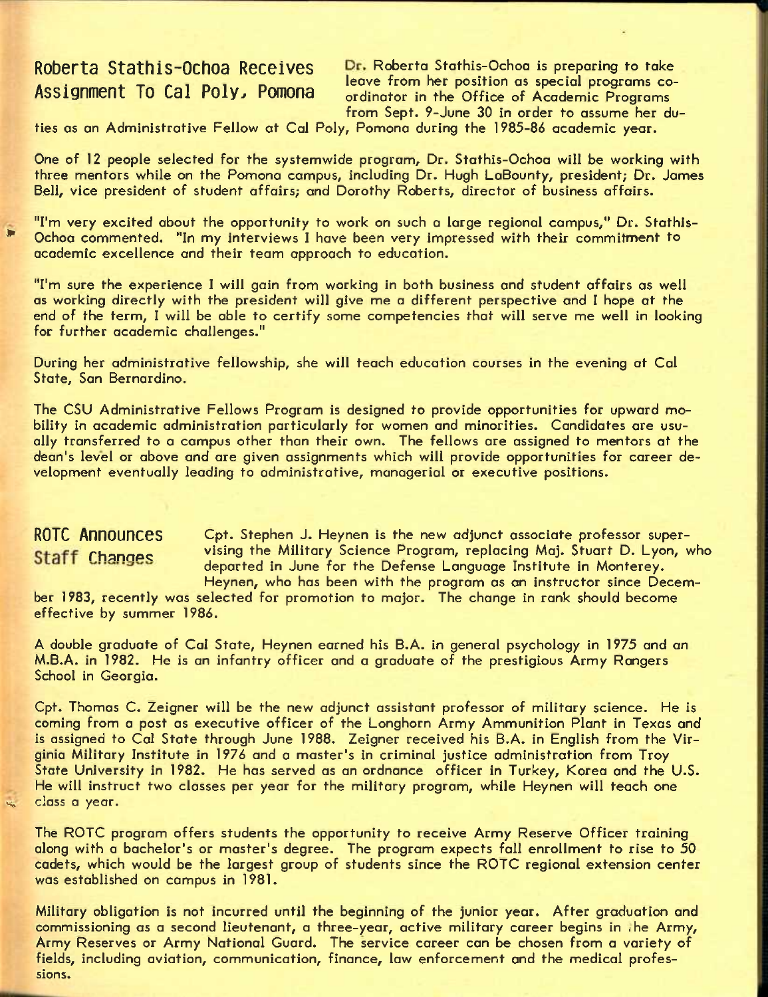Roberta Stathis-Ochoa Receives Dr. Roberta Stathis-Ochoa is preparing to take here is the calculus of the contract the team in the office of Academic Programs co-<br>Assignment To Cal Poly, Pomona condinator in the Office of Academic Programs ordinator in the Office of Academic Programs from Sept. 9-June 30 in order to assume her du-

ties as an Administrative Fellow at Cal Poly, Pomona during the 1985-86 academic year.

One of 12 people selected for the systemwide program. Dr. Stathis-Ochoa will be working with three mentors while on the Pomona campus, including Dr. Hugh LaBounty, president; Dr. James Bell, vice president of student affairs; and Dorothy Roberts, director of business affairs.

"I'm very excited about the opportunity to work on such a large regional campus," Dr. Stothis- Ochoa commented. "In my interviews I have been very impressed with their commitment to academic excellence and their team approach to education.

"I'm sure the experience I will gain from working in both business and student affairs as well as working directly with the president will give me a different perspective and I hope at the end of the term, I will be able to certify some competencies that will serve me well in looking for further academic challenges."

During her administrative fellowship, she will teach education courses in the evening at Cal State, San Bernardino.

The CSU Administrative Fellows Program is designed to provide opportunities for upward mobility in academic administration particularly for women and minorities. Candidates are usuolly transferred to a campus other than their own. The fellows are assigned to mentors at the dean's level or above and are given assignments which will provide opportunities for career development eventually leading to administrative, managerial or executive positions.

### **ROTC Announces** Cpt. Stephen J. Heynen **is the new adjunct associate professor super-**Staff Changes vising the Military Science Program, replacing Maj. Stuart D. Lyon, who departed in June for the Defense Language Institute in Monterey. Heynen, who has been with the program as an instructor since Decem-

ber 1983, recently was selected for promotion to major. The change in rank should become effective by summer 1986.

A double graduate of Cal State, Heynen earned his B.A. in general psychology in 1975 and an M.B.A. in 1982. He is an infantry officer and a graduate of the prestigious Army Rangers School in Georgia.

Cpt. Thomas C. Zeigner will be the new adjunct assistant professor of military science. He is coming from a post as executive officer of the Longhorn Army Ammunition Plant in Texas and is assigned to Cal State through June 1988. Zeigner received his B.A. in English from the Virginia Military Institute in 1976 and a master's in criminal justice administration from Troy State University in 1982. He has served as an ordnance officer in Turkey, Korea and the U.S. He will instruct two classes per year for the military program, while Heynen will teach one class a year.

The ROTC program offers students the opportunity to receive Army Reserve Officer training along with a bachelor's or master's degree. The program expects fall enrollment to rise to 50 cadets, which would be the largest group of students since the ROTC regional extension center was established on campus in 1981.

Military obligation is not incurred until the beginning of the junior year. After graduation and commissioning as a second lieutenant, a three-year, active military career begins in ihe Army, Army Reserves or Army National Guard. The service career can be chosen from a variety of fields, including aviation, communication, finance, law enforcement and the medical professions.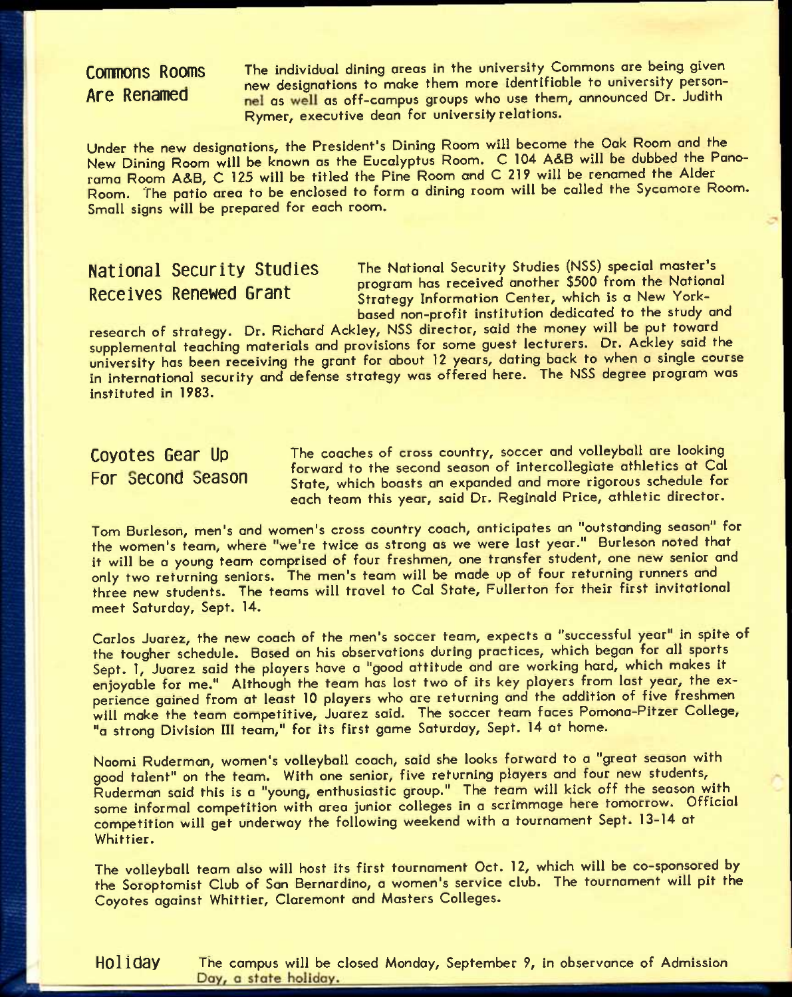CONTINONS ROOMS The individual dining areas in the university Commons are being given new designations to make them more identifiable to university person-Are Renamed as well as off-campus groups who use them, announced Dr. Judith Rymer, executive dean for university relations.

Under the new designations, the President's Dining Room will become the Oak Room and the New Dining Room will be known as the Eucalyptus Room. C 104 A&B will be dubbed the Panorama Room A&B, C 125 will be titled the Pine Room and C 219 will be renamed the Alder Room. The patio area to be enclosed to form a dining room will be called the Sycamore Room. Small signs will be prepared for each room.

**National Security Studies** The National Security Studies (NSS) special master's **EXECUTE:**<br>Receives Renewed Grant Terration is a New York-Strategy Information Center, which is a New Yorkbased non-profit institution dedicated to the study and

research of strategy. Dr. Richard Ackley, NSS director, said the money will be put toward supplemental teaching materials and provisions for some guest lecturers. Dr. Ackley said the university has been receiving the grant for about 12 years, dating back to when a single course in international security and defense strategy was offered here. The NSS degree program was instituted in 1983.

Coyotes Gear Up The coaches of cross country, soccer and volleyball are looking forward to the second season of intercollegiate athletics at Cal **For Second Season** state, which boasts an expanded and more rigorous schedule for each team this year, said Dr. Reginald Price, athletic director.

Tom Burleson, men's and women's cross country coach, anticipates an "outstanding season" for the women's team, where "we're twice as strong as we were last year." Burleson noted that it will be a young team comprised of four freshmen, one transfer student, one new senior and only two returning seniors. The men's team will be made up of four returning runners and three new students. The teams will travel to Cal State, Fullerton for their first invitational meet Saturday, Sept. 14.

Carlos Juarez, the new coach of the men's soccer team, expects a "successful year" in spite of the tougher schedule. Based on his observations during practices, which began for all sports Sept. 1, Juarez said the players have a "good attitude and are working hard, which makes it enjoyable for me." Although the team has lost two of its key players from lost year, the experience gained from at least 10 players who are returning and the addition of five freshmen will make the team competitive, Juarez said. The soccer team faces Pomona-Pitzer College, "a strong Division III team," for its first game Saturday, Sept. 14 at home.

Naomi Ruderman, women's volleyball coach, said she looks forward to a "great season with good talent" on the team. With one senior, five returning players and four new students, Ruderman said this is a "young, enthusiastic group." The team will kick off the season with some informal competition with area junior colleges in a scrimmage here tomorrow. Official competition will get underway the following weekend with a tournament Sept. 13-14 at Whittier.

The volleyball team also will host its first tournament Oct. 12, which will be co-sponsored by the Soroptomist Club of San Bernardino, a women's service club. The tournament will pit the Coyotes against Whittier, Claremont and Masters Colleges.

**Holiday** The campus will be closed Monday, September 9, in observance of Admission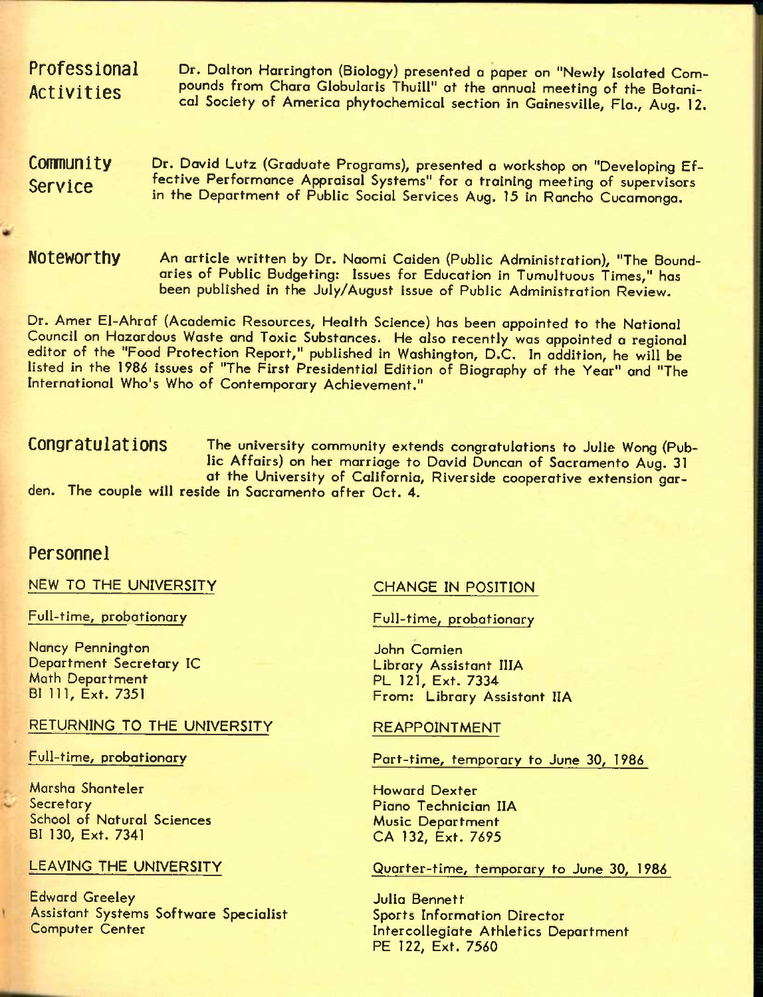Dr. Dalton Harrington (Biology) presented *a* paper on "Newly Isolated Compounds from Chora Globularis Thuill" at the annual meeting of the Botanical Society of America phytochemical section in Gainesville, Fla., Aug. 12. **Professional Activities** 

Dr. David Lutz (Graduate Programs), presented *a* workshop on "Developing Effective Performance Appraisal Systems" for a training meeting of supervisors in the Department of Public Social Services Aug. 15 in Rancho Cucamonga. **Community Service** 

An article written by Dr. Naomi Caiden (Public Administration), "The Boundaries of Public Budgeting: Issues for Education in Tumultuous Times," has been published in the July/August Issue of Public Administration Review. **Noteworthy** 

Dr. Amer El-Ahraf (Academic Resources, Health Science) has been appointed to the National Council on Hazardous Waste and Toxic Substances. He also recently was appointed *a* regional editor of the "Food Protection Report," published in Washington, D.C. In addition, he will be listed in the 1986 issues of "The First Presidential Edition of Biography of the Year" and "The International Who's Who of Contemporary Achievement,"

Congratulations The university community extends congratulations to Julie Wong (Public Affairs) on her marriage to David Duncan of Sacramento Aug. 31 at the University of California, Riverside cooperative extension garden. The couple will reside in Sacramento after Oct. 4.

### **Personnel**

NEW TO THE UNIVERSITY

Full-time, probationary

Nancy Pennington Department Secretary IC Math Department BI 111, Ext. 7351

#### RETURNING TO THE UNIVERSITY

#### Full-time, probationary

Marsha Shanteler **Secretary** School of Natural Sciences BI 130, Ext. 7341

### LEAVING THE UNIVERSITY

Edward Greeley Assistant Systems Software Specialist Computer Center

#### CHANGE IN POSITION

Full-time, probationary

John Camien Library Assistant IIIA PL 121, Ext. 7334 From: Library Assistant IIA

#### REAPPOINTMENT

Part-time, temporary to June 30, 1986

Howard Dexter Piano Technician IIA Music Department CA 132, Ext. 7695

### Quarter-time, temporary to June 30, 1986

Julia Bennett Sports Information Director Intercollegiate Athletics Department PE 122, Ext. 7560